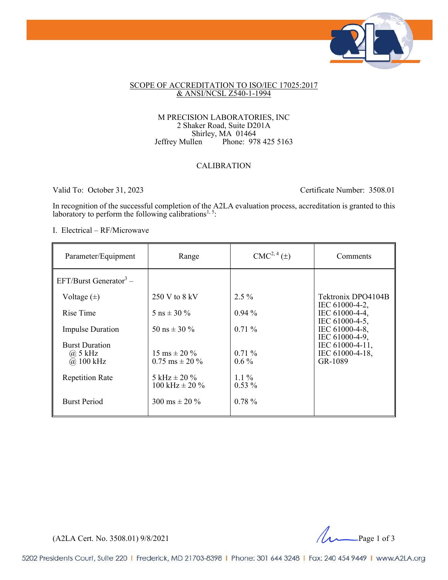

### SCOPE OF ACCREDITATION TO ISO/IEC 17025:2017 & ANSI/NCSL Z540-1-1994

#### M PRECISION LABORATORIES, INC 2 Shaker Road, Suite D201A Shirley, MA 01464<br>Jeffrey Mullen Phone: 978 Phone: 978 425 5163

### CALIBRATION

Valid To: October 31, 2023 Certificate Number: 3508.01

In recognition of the successful completion of the A2LA evaluation process, accreditation is granted to this laboratory to perform the following calibrations<sup>1,5</sup>:

I. Electrical – RF/Microwave

| Parameter/Equipment                                 | Range                                                    | $CMC2, 4(\pm)$      | Comments                                           |
|-----------------------------------------------------|----------------------------------------------------------|---------------------|----------------------------------------------------|
| EFT/Burst Generator <sup>3</sup> –                  |                                                          |                     |                                                    |
| Voltage $(\pm)$                                     | 250 V to 8 kV                                            | $2.5\%$             | Tektronix DPO4104B                                 |
| Rise Time                                           | 5 ns $\pm$ 30 %                                          | $0.94\%$            | IEC 61000-4-2,<br>IEC 61000-4-4,                   |
| <b>Impulse Duration</b>                             | 50 ns $\pm$ 30 %                                         | $0.71\%$            | IEC 61000-4-5,<br>IEC 61000-4-8,<br>IEC 61000-4-9, |
| <b>Burst Duration</b><br>$(a)$ 5 kHz<br>$@.100$ kHz | $15 \text{ ms} \pm 20 \%$<br>$0.75 \text{ ms} \pm 20 \%$ | $0.71\%$<br>$0.6\%$ | IEC 61000-4-11,<br>IEC 61000-4-18,<br>GR-1089      |
| <b>Repetition Rate</b>                              | 5 kHz $\pm$ 20 %<br>100 kHz $\pm$ 20 %                   | $1.1\%$<br>$0.53\%$ |                                                    |
| <b>Burst Period</b>                                 | 300 ms $\pm$ 20 %                                        | $0.78 \%$           |                                                    |

(A2LA Cert. No. 3508.01) 9/8/2021 2021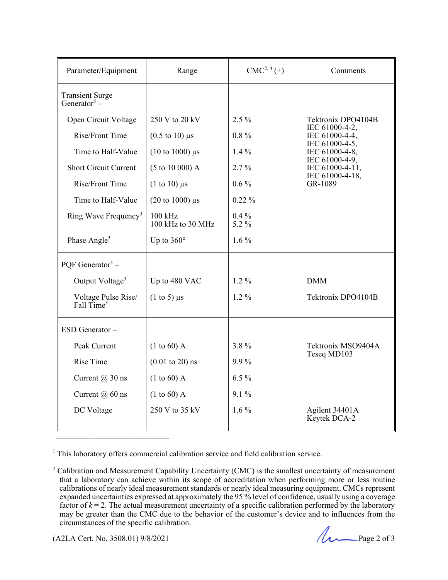| Parameter/Equipment                           | Range                                       | $CMC2, 4(\pm)$   | Comments                                                                                                                                                      |
|-----------------------------------------------|---------------------------------------------|------------------|---------------------------------------------------------------------------------------------------------------------------------------------------------------|
| Transient Surge<br>Generator <sup>3</sup> –   |                                             |                  |                                                                                                                                                               |
| Open Circuit Voltage                          | 250 V to 20 kV                              | $2.5\%$          | Tektronix DPO4104B<br>IEC 61000-4-2,<br>IEC 61000-4-4,<br>IEC 61000-4-5,<br>IEC 61000-4-8,<br>IEC 61000-4-9,<br>IEC 61000-4-11,<br>IEC 61000-4-18,<br>GR-1089 |
| Rise/Front Time                               | $(0.5 \text{ to } 10) \text{ }\mu\text{s}$  | $0.8 \%$         |                                                                                                                                                               |
| Time to Half-Value                            | $(10 \text{ to } 1000) \text{ }\mu\text{s}$ | $1.4\%$          |                                                                                                                                                               |
| <b>Short Circuit Current</b>                  | $(5 \text{ to } 10\ 000)$ A                 | 2.7%             |                                                                                                                                                               |
| Rise/Front Time                               | $(1 \text{ to } 10) \mu s$                  | $0.6\%$          |                                                                                                                                                               |
| Time to Half-Value                            | $(20 \text{ to } 1000) \text{ }\mu\text{s}$ | $0.22\%$         |                                                                                                                                                               |
| Ring Wave Frequency <sup>3</sup>              | $100$ kHz<br>100 kHz to 30 MHz              | $0.4\%$<br>5.2 % |                                                                                                                                                               |
| Phase Angle <sup>3</sup>                      | Up to $360^\circ$                           | $1.6\%$          |                                                                                                                                                               |
| POF Generator <sup>3</sup> –                  |                                             |                  |                                                                                                                                                               |
| Output Voltage <sup>3</sup>                   | Up to 480 VAC                               | $1.2\%$          | <b>DMM</b>                                                                                                                                                    |
| Voltage Pulse Rise/<br>Fall Time <sup>3</sup> | $(1 \text{ to } 5)$ µs                      | $1.2\%$          | Tektronix DPO4104B                                                                                                                                            |
| ESD Generator-                                |                                             |                  |                                                                                                                                                               |
| Peak Current                                  | (1 to 60) A                                 | $3.8\%$          | Tektronix MSO9404A<br>Teseq MD103                                                                                                                             |
| <b>Rise Time</b>                              | $(0.01 \text{ to } 20)$ ns                  | 9.9%             |                                                                                                                                                               |
| Current $(a)$ 30 ns                           | (1 to 60) A                                 | $6.5\%$          |                                                                                                                                                               |
| Current $(a)$ 60 ns                           | (1 to 60) A                                 | 9.1%             |                                                                                                                                                               |
| DC Voltage                                    | 250 V to 35 kV                              | $1.6\%$          | Agilent 34401A<br>Keytek DCA-2                                                                                                                                |

<sup>1</sup> This laboratory offers commercial calibration service and field calibration service.

\_\_\_\_\_\_\_\_\_\_\_\_\_\_\_\_\_\_\_\_\_\_\_\_\_\_\_\_\_\_\_\_\_\_\_\_\_

<sup>&</sup>lt;sup>2</sup> Calibration and Measurement Capability Uncertainty (CMC) is the smallest uncertainty of measurement that a laboratory can achieve within its scope of accreditation when performing more or less routine calibrations of nearly ideal measurement standards or nearly ideal measuring equipment. CMCs represent expanded uncertainties expressed at approximately the 95 % level of confidence, usually using a coverage factor of  $k = 2$ . The actual measurement uncertainty of a specific calibration performed by the laboratory may be greater than the CMC due to the behavior of the customer's device and to influences from the circumstances of the specific calibration.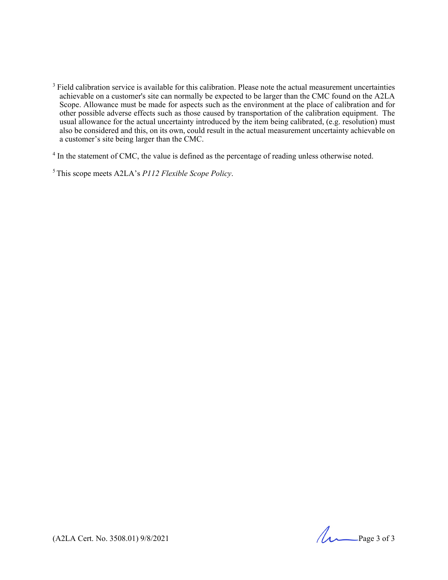<sup>3</sup> Field calibration service is available for this calibration. Please note the actual measurement uncertainties achievable on a customer's site can normally be expected to be larger than the CMC found on the A2LA Scope. Allowance must be made for aspects such as the environment at the place of calibration and for other possible adverse effects such as those caused by transportation of the calibration equipment. The usual allowance for the actual uncertainty introduced by the item being calibrated, (e.g. resolution) must also be considered and this, on its own, could result in the actual measurement uncertainty achievable on a customer's site being larger than the CMC.

<sup>4</sup> In the statement of CMC, the value is defined as the percentage of reading unless otherwise noted.

5 This scope meets A2LA's *P112 Flexible Scope Policy*.

 $(A2LA$  Cert. No. 3508.01) 9/8/2021 Page 3 of 3